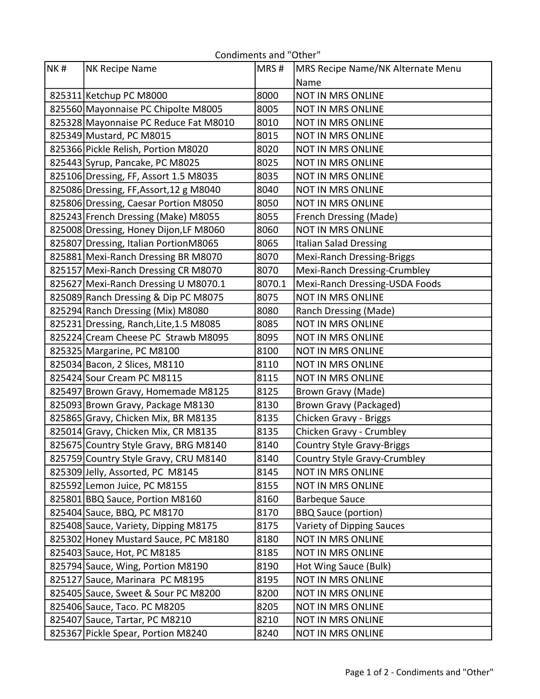| NK# | NK Recipe Name                          | MRS#   | MRS Recipe Name/NK Alternate Menu |
|-----|-----------------------------------------|--------|-----------------------------------|
|     |                                         |        | Name                              |
|     | 825311 Ketchup PC M8000                 | 8000   | <b>NOT IN MRS ONLINE</b>          |
|     | 825560 Mayonnaise PC Chipolte M8005     | 8005   | NOT IN MRS ONLINE                 |
|     | 825328 Mayonnaise PC Reduce Fat M8010   | 8010   | <b>NOT IN MRS ONLINE</b>          |
|     | 825349 Mustard, PC M8015                | 8015   | NOT IN MRS ONLINE                 |
|     | 825366 Pickle Relish, Portion M8020     | 8020   | <b>NOT IN MRS ONLINE</b>          |
|     | 825443 Syrup, Pancake, PC M8025         | 8025   | <b>NOT IN MRS ONLINE</b>          |
|     | 825106 Dressing, FF, Assort 1.5 M8035   | 8035   | <b>NOT IN MRS ONLINE</b>          |
|     | 825086 Dressing, FF, Assort, 12 g M8040 | 8040   | <b>NOT IN MRS ONLINE</b>          |
|     | 825806 Dressing, Caesar Portion M8050   | 8050   | NOT IN MRS ONLINE                 |
|     | 825243 French Dressing (Make) M8055     | 8055   | <b>French Dressing (Made)</b>     |
|     | 825008 Dressing, Honey Dijon, LF M8060  | 8060   | <b>NOT IN MRS ONLINE</b>          |
|     | 825807 Dressing, Italian PortionM8065   | 8065   | <b>Italian Salad Dressing</b>     |
|     | 825881 Mexi-Ranch Dressing BR M8070     | 8070   | <b>Mexi-Ranch Dressing-Briggs</b> |
|     | 825157 Mexi-Ranch Dressing CR M8070     | 8070   | Mexi-Ranch Dressing-Crumbley      |
|     | 825627 Mexi-Ranch Dressing U M8070.1    | 8070.1 | Mexi-Ranch Dressing-USDA Foods    |
|     | 825089 Ranch Dressing & Dip PC M8075    | 8075   | NOT IN MRS ONLINE                 |
|     | 825294 Ranch Dressing (Mix) M8080       | 8080   | Ranch Dressing (Made)             |
|     | 825231 Dressing, Ranch, Lite, 1.5 M8085 | 8085   | <b>NOT IN MRS ONLINE</b>          |
|     | 825224 Cream Cheese PC Strawb M8095     | 8095   | NOT IN MRS ONLINE                 |
|     | 825325 Margarine, PC M8100              | 8100   | <b>NOT IN MRS ONLINE</b>          |
|     | 825034 Bacon, 2 Slices, M8110           | 8110   | NOT IN MRS ONLINE                 |
|     | 825424 Sour Cream PC M8115              | 8115   | <b>NOT IN MRS ONLINE</b>          |
|     | 825497 Brown Gravy, Homemade M8125      | 8125   | Brown Gravy (Made)                |
|     | 825093 Brown Gravy, Package M8130       | 8130   | <b>Brown Gravy (Packaged)</b>     |
|     | 825865 Gravy, Chicken Mix, BR M8135     | 8135   | Chicken Gravy - Briggs            |
|     | 825014 Gravy, Chicken Mix, CR M8135     | 8135   | Chicken Gravy - Crumbley          |
|     | 825675 Country Style Gravy, BRG M8140   | 8140   | <b>Country Style Gravy-Briggs</b> |
|     | 825759 Country Style Gravy, CRU M8140   | 8140   | Country Style Gravy-Crumbley      |
|     | 825309 Jelly, Assorted, PC M8145        | 8145   | NOT IN MRS ONLINE                 |
|     | 825592 Lemon Juice, PC M8155            | 8155   | NOT IN MRS ONLINE                 |
|     | 825801 BBQ Sauce, Portion M8160         | 8160   | <b>Barbeque Sauce</b>             |
|     | 825404 Sauce, BBQ, PC M8170             | 8170   | <b>BBQ Sauce (portion)</b>        |
|     | 825408 Sauce, Variety, Dipping M8175    | 8175   | Variety of Dipping Sauces         |
|     | 825302 Honey Mustard Sauce, PC M8180    | 8180   | NOT IN MRS ONLINE                 |
|     | 825403 Sauce, Hot, PC M8185             | 8185   | NOT IN MRS ONLINE                 |
|     | 825794 Sauce, Wing, Portion M8190       | 8190   | Hot Wing Sauce (Bulk)             |
|     | 825127 Sauce, Marinara PC M8195         | 8195   | NOT IN MRS ONLINE                 |
|     | 825405 Sauce, Sweet & Sour PC M8200     | 8200   | NOT IN MRS ONLINE                 |
|     | 825406 Sauce, Taco. PC M8205            | 8205   | NOT IN MRS ONLINE                 |
|     | 825407 Sauce, Tartar, PC M8210          | 8210   | NOT IN MRS ONLINE                 |
|     | 825367 Pickle Spear, Portion M8240      | 8240   | <b>NOT IN MRS ONLINE</b>          |

## Condiments and "Other"